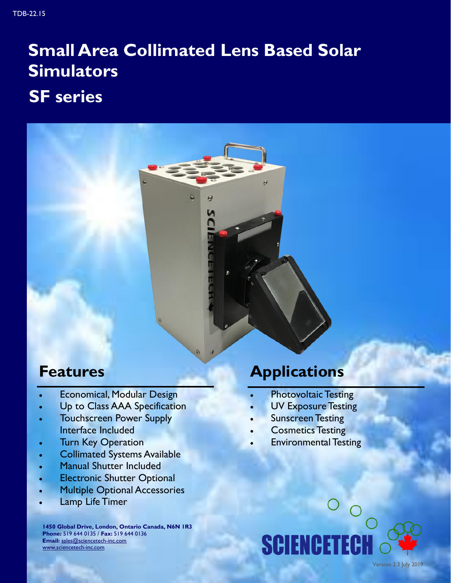- Economical, Modular Design
- Up to Class AAA Specification
- Touchscreen Power Supply Interface Included
- Turn Key Operation
- Collimated Systems Available
- Manual Shutter Included
- Electronic Shutter Optional
- Multiple Optional Accessories
- Lamp Life Timer

**1450 Global Drive, London, Ontario Canada, N6N 1R3 Phone:** 519 644 0135 / **Fax:** 519 644 0136 **Email:** [sales@sciencetech-inc.com](mailto:sales@sciencetech-inc.com) [www.sciencetech-inc.com](http://www.sciencetech-inc.com)

### **Features Applications**

- Photovoltaic Testing
- UV Exposure Testing
- Sunscreen Testing
- Cosmetics Testing
- Environmental Testing

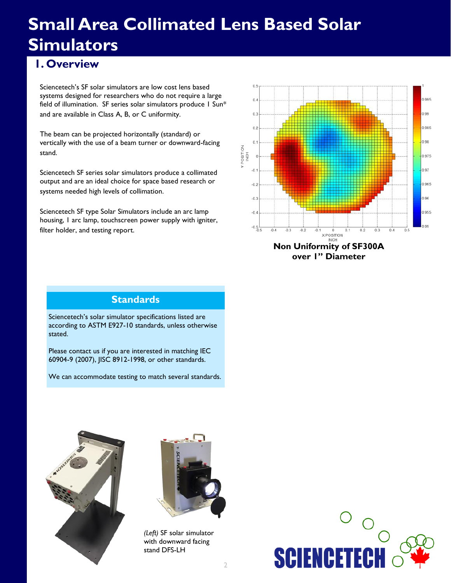#### **1. Overview**

Sciencetech's SF solar simulators are low cost lens based systems designed for researchers who do not require a large field of illumination. SF series solar simulators produce 1 Sun\* and are available in Class A, B, or C uniformity.

The beam can be projected horizontally (standard) or vertically with the use of a beam turner or downward-facing stand.

Sciencetech SF series solar simulators produce a collimated output and are an ideal choice for space based research or systems needed high levels of collimation.

Sciencetech SF type Solar Simulators include an arc lamp housing, 1 arc lamp, touchscreen power supply with igniter, filter holder, and testing report.



#### **Standards**

Sciencetech's solar simulator specifications listed are according to ASTM E927-10 standards, unless otherwise stated.

Please contact us if you are interested in matching IEC 60904-9 (2007), JISC 8912-1998, or other standards.

We can accommodate testing to match several standards.





*(Left)* SF solar simulator with downward facing stand DFS-LH

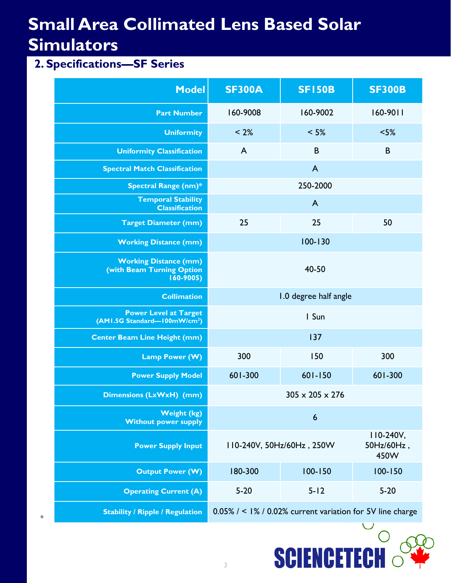#### **2. Specifications—SF Series**

\*

| <b>Model</b>                                                              | <b>SF300A</b>                                                | <b>SF150B</b>               | <b>SF300B</b>                     |
|---------------------------------------------------------------------------|--------------------------------------------------------------|-----------------------------|-----------------------------------|
| <b>Part Number</b>                                                        | 160-9008                                                     | 160-9002                    | $160-9011$                        |
| <b>Uniformity</b>                                                         | < 2%                                                         | $< 5\%$                     | $< 5\%$                           |
| <b>Uniformity Classification</b>                                          | $\overline{A}$                                               | B                           | B                                 |
| <b>Spectral Match Classification</b>                                      |                                                              | $\overline{A}$              |                                   |
| <b>Spectral Range (nm)*</b>                                               |                                                              | 250-2000                    |                                   |
| <b>Temporal Stability</b><br><b>Classification</b>                        | $\overline{A}$                                               |                             |                                   |
| <b>Target Diameter (mm)</b>                                               | 25                                                           | 25                          | 50                                |
| <b>Working Distance (mm)</b>                                              |                                                              | $100 - 130$                 |                                   |
| <b>Working Distance (mm)</b><br>(with Beam Turning Option<br>$160 - 9005$ | 40-50                                                        |                             |                                   |
| <b>Collimation</b>                                                        | 1.0 degree half angle                                        |                             |                                   |
| <b>Power Level at Target</b><br>(AM1.5G Standard-100mW/cm <sup>2</sup> )  |                                                              | I Sun                       |                                   |
| <b>Center Beam Line Height (mm)</b>                                       |                                                              | 137                         |                                   |
| Lamp Power (W)                                                            | 300                                                          | 150                         | 300                               |
| <b>Power Supply Model</b>                                                 | 601-300                                                      | $601 - 150$                 | 601-300                           |
| <b>Dimensions (LxWxH) (mm)</b>                                            |                                                              | $305 \times 205 \times 276$ |                                   |
| <b>Weight (kg)</b><br><b>Without power supply</b>                         |                                                              | $\boldsymbol{6}$            |                                   |
| <b>Power Supply Input</b>                                                 |                                                              | II0-240V, 50Hz/60Hz, 250W   | $110-240V,$<br>50Hz/60Hz,<br>450W |
| <b>Output Power (W)</b>                                                   | 180-300                                                      | $100 - 150$                 | $100 - 150$                       |
| <b>Operating Current (A)</b>                                              | $5 - 20$                                                     | $5 - 12$                    | $5 - 20$                          |
| <b>Stability / Ripple / Regulation</b>                                    | $0.05\%$ / < 1% / 0.02% current variation for 5V line charge |                             |                                   |

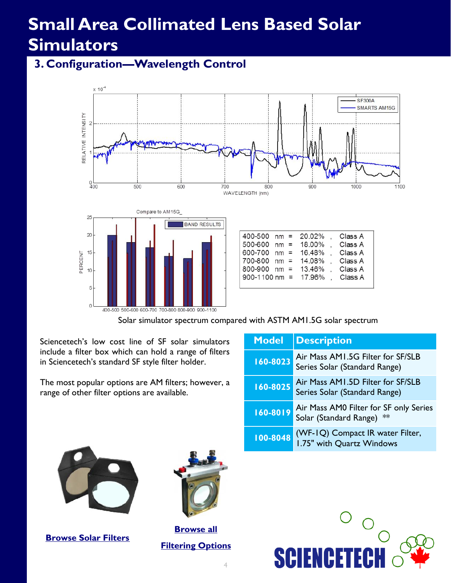#### **3. Configuration—Wavelength Control**





| 400-500 nm = 20.02%     |  | Class A |
|-------------------------|--|---------|
| $500-600$ nm = 18.00%   |  | Class A |
| 600-700 nm = $16.48\%$  |  | Class A |
| 700-800 nm = 14.08%     |  | Class A |
| 800-900 nm = $13.46\%$  |  | Class A |
| 900-1100 nm = $17.96\%$ |  | Class A |
|                         |  |         |

Solar simulator spectrum compared with ASTM AM1.5G solar spectrum

Sciencetech's low cost line of SF solar simulators include a filter box which can hold a range of filters in Sciencetech's standard SF style filter holder.

The most popular options are AM filters; however, a range of other filter options are available.

| <b>Model</b> | <b>Description</b>                                                  |
|--------------|---------------------------------------------------------------------|
| 160-8023     | Air Mass AM1.5G Filter for SF/SLB<br>Series Solar (Standard Range)  |
| 160-8025     | Air Mass AM1.5D Filter for SF/SLB<br>Series Solar (Standard Range)  |
| 160-8019     | Air Mass AM0 Filter for SF only Series<br>Solar (Standard Range) ** |
| 100-8048     | (WF-IQ) Compact IR water Filter,<br>1.75" with Quartz Windows       |



**[Browse Solar Filters](http://www.sciencetech-inc.com/all-products/solarsimulators/filters-solar.html)**



**[Browse all](http://www.sciencetech-inc.com/all-products/modular-spectroscopy/filters.html)  [Filtering Options](http://www.sciencetech-inc.com/all-products/modular-spectroscopy/filters.html)**

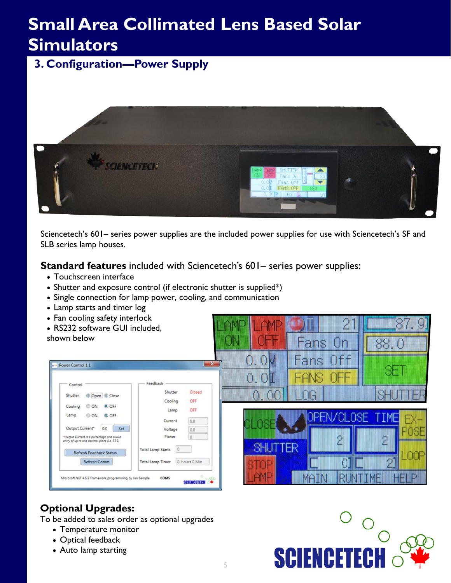**3. Configuration—Power Supply**



Sciencetech's 601– series power supplies are the included power supplies for use with Sciencetech's SF and SLB series lamp houses.

明朗

0. m

**SHUTTER** 

**Standard features** included with Sciencetech's 601– series power supplies:

- Touchscreen interface
- Shutter and exposure control (if electronic shutter is supplied\*)
- Single connection for lamp power, cooling, and communication
- Lamp starts and timer log
- Fan cooling safety interlock
- RS232 software GUI included.

shown below

| Control                                                                                    | Feedback                            |               |
|--------------------------------------------------------------------------------------------|-------------------------------------|---------------|
| Open O Close<br>Shutter                                                                    | Shutter                             | Closed        |
|                                                                                            | Cooling                             | OFF.          |
| O OFF<br>Cooling<br>ON                                                                     | Lamp                                | OFF           |
| Lamp<br>© ON<br>O OFF                                                                      | Current                             | 0.0           |
| Output Current*<br>Set<br>0.0                                                              | Voltage                             | 0.0           |
| "Output Current is a percentage and allows<br>entry of up to one decimal place (i.e. 95.1) | Power                               | $\Omega$      |
| <b>Refresh Feedback Status</b>                                                             | $\circ$<br><b>Total Lamp Starts</b> |               |
| Refresh Comm                                                                               | Total Lamp Timer                    | 0 Hours 0 Min |

#### **Optional Upgrades:**

To be added to sales order as optional upgrades

- Temperature monitor
- Optical feedback
- Auto lamp starting



RLINT

TME

Fans On

ans.

**FANS** 

OG

Off

OF H

88.0

88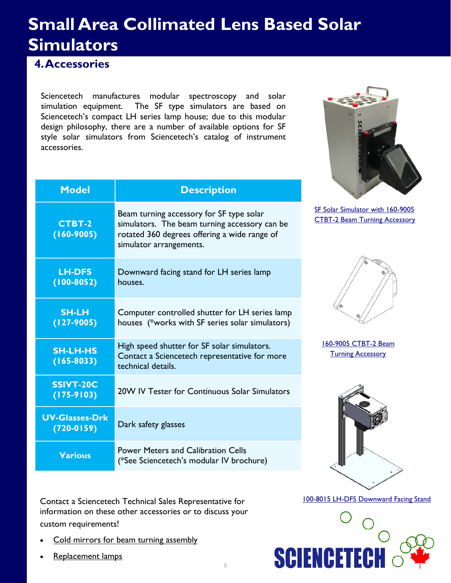#### **4. Accessories**

Sciencetech manufactures modular spectroscopy and solar simulation equipment. The SF type simulators are based on Sciencetech's compact LH series lamp house; due to this modular design philosophy, there are a number of available options for SF style solar simulators from Sciencetech's catalog of instrument accessories.

**Model Description**



| <b>CTBT-2</b><br>$(160 - 9005)$       | Beam turning accessory for SF type solar<br>simulators. The beam turning accessory can be<br>rotated 360 degrees offering a wide range of<br>simulator arrangements. |
|---------------------------------------|----------------------------------------------------------------------------------------------------------------------------------------------------------------------|
| <b>LH-DFS</b><br>$(100-8052)$         | Downward facing stand for LH series lamp<br>houses.                                                                                                                  |
| <b>SH-LH</b><br>$(127 - 9005)$        | Computer controlled shutter for LH series lamp<br>houses (*works with SF series solar simulators)                                                                    |
| <b>SH-LH-HS</b><br>$(165 - 8033)$     | High speed shutter for SF solar simulators.<br>Contact a Sciencetech representative for more<br>technical details.                                                   |
| SSIVT-20C<br>$(175-9103)$             | 20W IV Tester for Continuous Solar Simulators                                                                                                                        |
| <b>UV-Glasses-Drk</b><br>$(720-0159)$ | Dark safety glasses                                                                                                                                                  |
| <b>Various</b>                        | <b>Power Meters and Calibration Cells</b><br>(*See Sciencetech's modular IV brochure)                                                                                |

Contact a Sciencetech Technical Sales Representative for information on these other accessories or to discuss your custom requirements!

- [Cold mirrors for beam turning assembly](http://www.sciencetech-inc.com/ctbt-c-uv-uv-cold-mirror-for-201c-100-type-lamp-houses.html)
- [Replacement lamps](http://www.sciencetech-inc.com/all-products/light-sources/accessories/lamps/xe-arc-lamps.html)



[SF Solar Simulator with 160-9005](http://www.sciencetech-inc.com/ctbt-2-beam-turning-assembly-for-201c-100-lamp-houses.html)  [CTBT-2 Beam Turning Accessory](http://www.sciencetech-inc.com/ctbt-2-beam-turning-assembly-for-201c-100-lamp-houses.html)

[160-9005 CTBT-2 Beam](http://www.sciencetech-inc.com/ctbt-2-beam-turning-assembly-for-201c-100-lamp-houses.html)  [Turning Accessory](http://www.sciencetech-inc.com/ctbt-2-beam-turning-assembly-for-201c-100-lamp-houses.html)



[100-8015 LH-DFS Downward Facing Stand](http://www.sciencetech-inc.com/dfs-201-downward-facing-stand-for-201-100-style-lamp-houses.html)